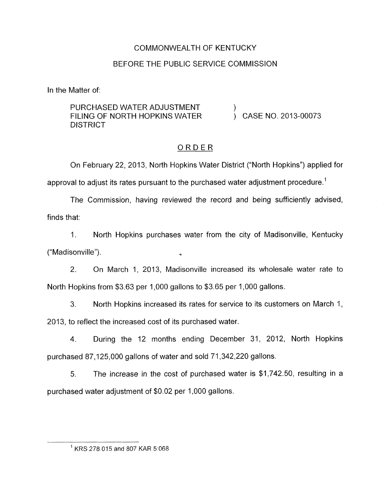## COMMONWEALTH OF KENTUCKY

# BEFORE THE PUBLIC SERVICE COMMISSION

In the Matter of:

# PURCHASED WATER ADJUSTMENT  $\qquad \qquad$ ) CASE NO. 2013-00073 DISTRICT

# ORDER

On February 22, 2013, North Hopkins Water District ("North Hopkins") applied for approval to adjust its rates pursuant to the purchased water adjustment procedure.<sup>1</sup>

The Commission, having reviewed the record and being sufficiently advised, finds that:

1. North Hopkins purchases water from the city of Madisonville, Kentucky ("Madisonville").

2. On March 1, 2013, Madisonville increased its wholesale water rate to North Hopkins from \$3.63 per 1,000 gallons to \$3.65 per 1,000 gallons.

3. North Hopkins increased its rates for service to its customers on March I, 2013, to reflect the increased cost of its purchased water.

4. During the 12 months ending December 31, 2012, North Hopkins purchased 87,125,000 gallons of water and sold 71,342,220 gallons.

*5.* The increase in the cost of purchased water is \$1,742.50, resulting in a purchased water adjustment of \$0.02 per 1,000 gallons.

<sup>&#</sup>x27; **KRS** 278.015 and 807 KAR 5.068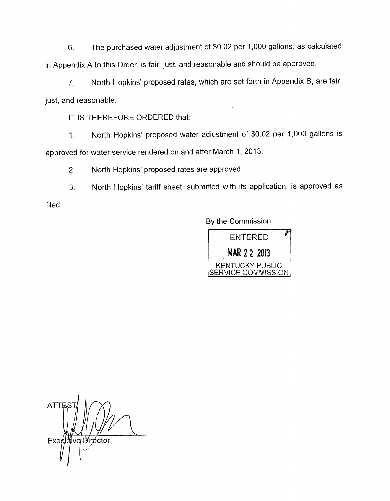6. The purchased water adjustment of \$0.02 per 1,000 gallons, as calculated in Appendix A to this Order, is fair, just, and reasonable and should be approved.

*7.* North Hopkins' proposed rates, which are set forth in Appendix B, are fair, just, and reasonable.

IT IS THEREFORE ORDERED that:

1. North Hopkins' proposed water adjustment of \$0.02 per 1,000 gallons is approved for water service rendered on and after March 1, 2013.

2. North Hopkins' proposed rates are approved.

3. North Hopkins' tariff sheet, submitted with its application, is approved as filed.

By the Commission



**ATT** Executive Director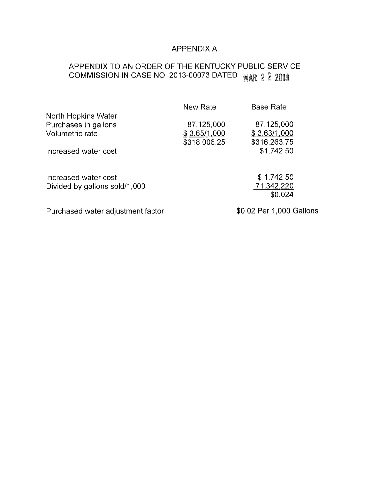# APPENDIX A

# APPENDIX TO AN ORDER OF THE KENTUCKY PUBLIC SERVICE COMMISSION IN CASE NO. 2013-00073 DATED MAR 2 2 2013

|                                                                | New Rate                                   | <b>Base Rate</b>                           |
|----------------------------------------------------------------|--------------------------------------------|--------------------------------------------|
| North Hopkins Water<br>Purchases in gallons<br>Volumetric rate | 87,125,000<br>\$3.65/1,000<br>\$318,006.25 | 87,125,000<br>\$3.63/1,000<br>\$316,263.75 |
| Increased water cost                                           |                                            | \$1,742.50                                 |
| Increased water cost<br>Divided by gallons sold/1,000          |                                            | \$1,742.50<br>71,342,220<br>\$0.024        |
| Purchased water adjustment factor                              |                                            | \$0.02 Per 1,000 Gallons                   |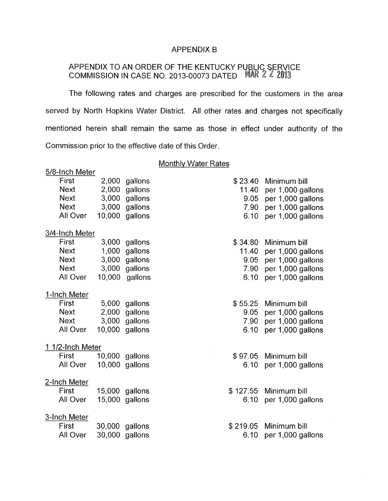#### APPENDIX B

#### APPENDIX TO AN ORDER OF THE KENTUCKY P COMMISSION IN CASE NO. 2013-00073 DATED E

The following rates and charges are prescribed for the customers in the area served by North Hopkins Water District. All other rates and charges not specifically mentioned herein shall remain the same as those in effect under authority of the Commission prior to the effective date of this Order.

## Monthly Water Rates

| 5/8-Inch Meter   |        |                |          |                   |
|------------------|--------|----------------|----------|-------------------|
| First            | 2,000  | gallons        | \$23.40  | Minimum bill      |
| <b>Next</b>      | 2,000  | gallons        | 11.40    | per 1,000 gallons |
| <b>Next</b>      | 3,000  | gallons        | 9.05     | per 1,000 gallons |
| <b>Next</b>      |        | 3,000 gallons  | 7.90     | per 1,000 gallons |
| All Over         | 10,000 | gallons        | 6.10     | per 1,000 gallons |
| 3/4-Inch Meter   |        |                |          |                   |
| First            | 3,000  | gallons        | \$34.80  | Minimum bill      |
| <b>Next</b>      | 1,000  | gallons        | 11.40    | per 1,000 gallons |
| <b>Next</b>      | 3,000  | gallons        | 9.05     | per 1,000 gallons |
| <b>Next</b>      |        | 3,000 gallons  | 7.90     | per 1,000 gallons |
| All Over         | 10,000 | gallons        | 6.10     | per 1,000 gallons |
| 1-Inch Meter     |        |                |          |                   |
| First            | 5,000  | gallons        | \$55.25  | Minimum bill      |
| <b>Next</b>      | 2,000  | gallons        | 9.05     | per 1,000 gallons |
| <b>Next</b>      | 3,000  | gallons        | 7.90     | per 1,000 gallons |
| All Over         |        | 10,000 gallons | 6.10     | per 1,000 gallons |
| 1 1/2-Inch Meter |        |                |          |                   |
| First            | 10,000 | gallons        | \$97.05  | Minimum bill      |
| All Over         | 10,000 | gallons        | 6.10     | per 1,000 gallons |
| 2-Inch Meter     |        |                |          |                   |
| First            |        | 15,000 gallons | \$127.55 | Minimum bill      |
| All Over         |        | 15,000 gallons | 6.10     | per 1,000 gallons |
| 3-Inch Meter     |        |                |          |                   |
| First            | 30,000 | gallons        | \$219.05 | Minimum bill      |
| All Over         | 30,000 | gallons        | 6.10     | per 1,000 gallons |